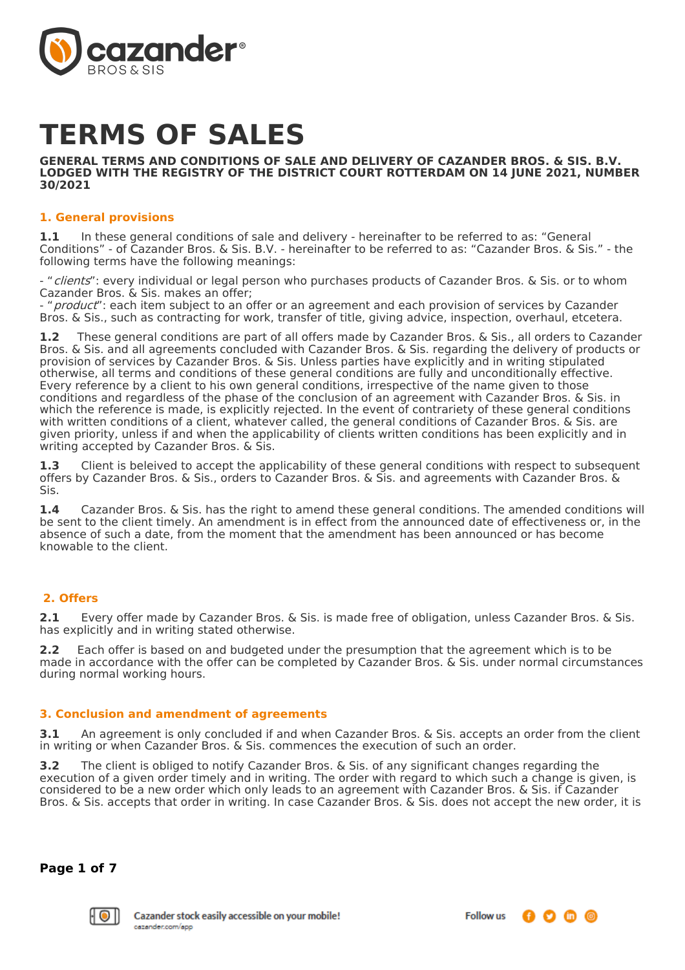

# **TERMS OF SALES**

**GENERAL TERMS AND CONDITIONS OF SALE AND DELIVERY OF CAZANDER BROS. & SIS. B.V. LODGED WITH THE REGISTRY OF THE DISTRICT COURT ROTTERDAM ON 14 JUNE 2021, NUMBER 30/2021**

#### **1. General provisions**

**1.1** In these general conditions of sale and delivery - hereinafter to be referred to as: "General Conditions" - of Cazander Bros. & Sis. B.V. - hereinafter to be referred to as: "Cazander Bros. & Sis." - the following terms have the following meanings:

- "clients": every individual or legal person who purchases products of Cazander Bros. & Sis. or to whom Cazander Bros. & Sis. makes an offer;

product": each item subject to an offer or an agreement and each provision of services by Cazander Bros. & Sis., such as contracting for work, transfer of title, giving advice, inspection, overhaul, etcetera.

**1.2** These general conditions are part of all offers made by Cazander Bros. & Sis., all orders to Cazander Bros. & Sis. and all agreements concluded with Cazander Bros. & Sis. regarding the delivery of products or provision of services by Cazander Bros. & Sis. Unless parties have explicitly and in writing stipulated otherwise, all terms and conditions of these general conditions are fully and unconditionally effective. Every reference by a client to his own general conditions, irrespective of the name given to those conditions and regardless of the phase of the conclusion of an agreement with Cazander Bros. & Sis. in which the reference is made, is explicitly rejected. In the event of contrariety of these general conditions with written conditions of a client, whatever called, the general conditions of Cazander Bros. & Sis. are given priority, unless if and when the applicability of clients written conditions has been explicitly and in writing accepted by Cazander Bros. & Sis.

**1.3** Client is beleived to accept the applicability of these general conditions with respect to subsequent offers by Cazander Bros. & Sis., orders to Cazander Bros. & Sis. and agreements with Cazander Bros. & Sis.

**1.4** Cazander Bros. & Sis. has the right to amend these general conditions. The amended conditions will be sent to the client timely. An amendment is in effect from the announced date of effectiveness or, in the absence of such a date, from the moment that the amendment has been announced or has become knowable to the client.

# **2. Offers**

**2.1** Every offer made by Cazander Bros. & Sis. is made free of obligation, unless Cazander Bros. & Sis. has explicitly and in writing stated otherwise.

**2.2** Each offer is based on and budgeted under the presumption that the agreement which is to be made in accordance with the offer can be completed by Cazander Bros. & Sis. under normal circumstances during normal working hours.

#### **3. Conclusion and amendment of agreements**

**3.1** An agreement is only concluded if and when Cazander Bros. & Sis. accepts an order from the client in writing or when Cazander Bros. & Sis. commences the execution of such an order.

**3.2** The client is obliged to notify Cazander Bros. & Sis. of any significant changes regarding the execution of a given order timely and in writing. The order with regard to which such a change is given, is considered to be a new order which only leads to an agreement with Cazander Bros. & Sis. if Cazander Bros. & Sis. accepts that order in writing. In case Cazander Bros. & Sis. does not accept the new order, it is

**Page 1 of 7**

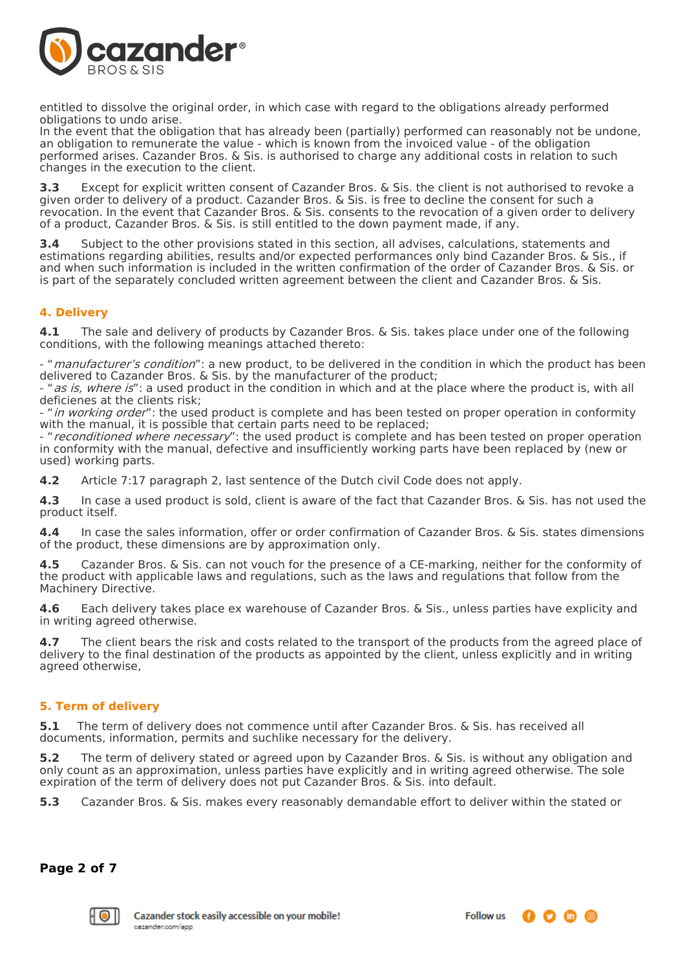

entitled to dissolve the original order, in which case with regard to the obligations already performed obligations to undo arise.

In the event that the obligation that has already been (partially) performed can reasonably not be undone, an obligation to remunerate the value - which is known from the invoiced value - of the obligation performed arises. Cazander Bros. & Sis. is authorised to charge any additional costs in relation to such changes in the execution to the client.

**3.3** Except for explicit written consent of Cazander Bros. & Sis. the client is not authorised to revoke a given order to delivery of a product. Cazander Bros. & Sis. is free to decline the consent for such a revocation. In the event that Cazander Bros. & Sis. consents to the revocation of a given order to delivery of a product, Cazander Bros. & Sis. is still entitled to the down payment made, if any.

**3.4** Subject to the other provisions stated in this section, all advises, calculations, statements and estimations regarding abilities, results and/or expected performances only bind Cazander Bros. & Sis., if and when such information is included in the written confirmation of the order of Cazander Bros. & Sis. or is part of the separately concluded written agreement between the client and Cazander Bros. & Sis.

# **4. Delivery**

**4.1** The sale and delivery of products by Cazander Bros. & Sis. takes place under one of the following conditions, with the following meanings attached thereto:

- "manufacturer's condition": a new product, to be delivered in the condition in which the product has been delivered to Cazander Bros. & Sis. by the manufacturer of the product;

- "as is, where is": a used product in the condition in which and at the place where the product is, with all deficienes at the clients risk;

- "in working order": the used product is complete and has been tested on proper operation in conformity with the manual, it is possible that certain parts need to be replaced;

- "*reconditioned where necessary*": the used product is complete and has been tested on proper operation in conformity with the manual, defective and insufficiently working parts have been replaced by (new or used) working parts.

**4.2** Article 7:17 paragraph 2, last sentence of the Dutch civil Code does not apply.

**4.3** In case a used product is sold, client is aware of the fact that Cazander Bros. & Sis. has not used the product itself.

**4.4** In case the sales information, offer or order confirmation of Cazander Bros. & Sis. states dimensions of the product, these dimensions are by approximation only.

**4.5** Cazander Bros. & Sis. can not vouch for the presence of a CE-marking, neither for the conformity of the product with applicable laws and regulations, such as the laws and regulations that follow from the Machinery Directive.

**4.6** Each delivery takes place ex warehouse of Cazander Bros. & Sis., unless parties have explicity and in writing agreed otherwise.

**4.7** The client bears the risk and costs related to the transport of the products from the agreed place of delivery to the final destination of the products as appointed by the client, unless explicitly and in writing agreed otherwise,

# **5. Term of delivery**

**5.1** The term of delivery does not commence until after Cazander Bros. & Sis. has received all documents, information, permits and suchlike necessary for the delivery.

**5.2** The term of delivery stated or agreed upon by Cazander Bros. & Sis. is without any obligation and only count as an approximation, unless parties have explicitly and in writing agreed otherwise. The sole expiration of the term of delivery does not put Cazander Bros. & Sis. into default.

**5.3** Cazander Bros. & Sis. makes every reasonably demandable effort to deliver within the stated or

**Page 2 of 7**

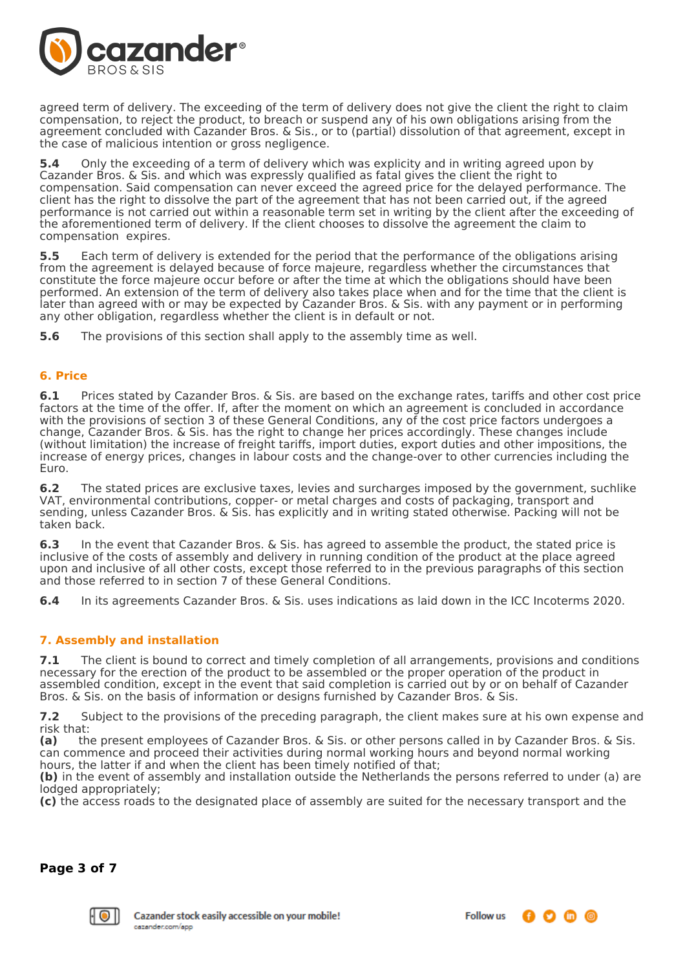

agreed term of delivery. The exceeding of the term of delivery does not give the client the right to claim compensation, to reject the product, to breach or suspend any of his own obligations arising from the agreement concluded with Cazander Bros. & Sis., or to (partial) dissolution of that agreement, except in the case of malicious intention or gross negligence.

**5.4** Only the exceeding of a term of delivery which was explicity and in writing agreed upon by Cazander Bros. & Sis. and which was expressly qualified as fatal gives the client the right to compensation. Said compensation can never exceed the agreed price for the delayed performance. The client has the right to dissolve the part of the agreement that has not been carried out, if the agreed performance is not carried out within a reasonable term set in writing by the client after the exceeding of the aforementioned term of delivery. If the client chooses to dissolve the agreement the claim to compensation expires.

**5.5** Each term of delivery is extended for the period that the performance of the obligations arising from the agreement is delayed because of force majeure, regardless whether the circumstances that constitute the force majeure occur before or after the time at which the obligations should have been performed. An extension of the term of delivery also takes place when and for the time that the client is later than agreed with or may be expected by Cazander Bros. & Sis. with any payment or in performing any other obligation, regardless whether the client is in default or not.

**5.6** The provisions of this section shall apply to the assembly time as well.

#### **6. Price**

**6.1** Prices stated by Cazander Bros. & Sis. are based on the exchange rates, tariffs and other cost price factors at the time of the offer. If, after the moment on which an agreement is concluded in accordance with the provisions of section 3 of these General Conditions, any of the cost price factors undergoes a change, Cazander Bros. & Sis. has the right to change her prices accordingly. These changes include (without limitation) the increase of freight tariffs, import duties, export duties and other impositions, the increase of energy prices, changes in labour costs and the change-over to other currencies including the Euro.

**6.2** The stated prices are exclusive taxes, levies and surcharges imposed by the government, suchlike VAT, environmental contributions, copper- or metal charges and costs of packaging, transport and sending, unless Cazander Bros. & Sis. has explicitly and in writing stated otherwise. Packing will not be taken back.

**6.3** In the event that Cazander Bros. & Sis. has agreed to assemble the product, the stated price is inclusive of the costs of assembly and delivery in running condition of the product at the place agreed upon and inclusive of all other costs, except those referred to in the previous paragraphs of this section and those referred to in section 7 of these General Conditions.

**6.4** In its agreements Cazander Bros. & Sis. uses indications as laid down in the ICC Incoterms 2020.

# **7. Assembly and installation**

**7.1** The client is bound to correct and timely completion of all arrangements, provisions and conditions necessary for the erection of the product to be assembled or the proper operation of the product in assembled condition, except in the event that said completion is carried out by or on behalf of Cazander Bros. & Sis. on the basis of information or designs furnished by Cazander Bros. & Sis.

**7.2** Subject to the provisions of the preceding paragraph, the client makes sure at his own expense and risk that:

**(a)** the present employees of Cazander Bros. & Sis. or other persons called in by Cazander Bros. & Sis. can commence and proceed their activities during normal working hours and beyond normal working hours, the latter if and when the client has been timely notified of that;

**(b)** in the event of assembly and installation outside the Netherlands the persons referred to under (a) are lodged appropriately;

**(c)** the access roads to the designated place of assembly are suited for the necessary transport and the

**Page 3 of 7**

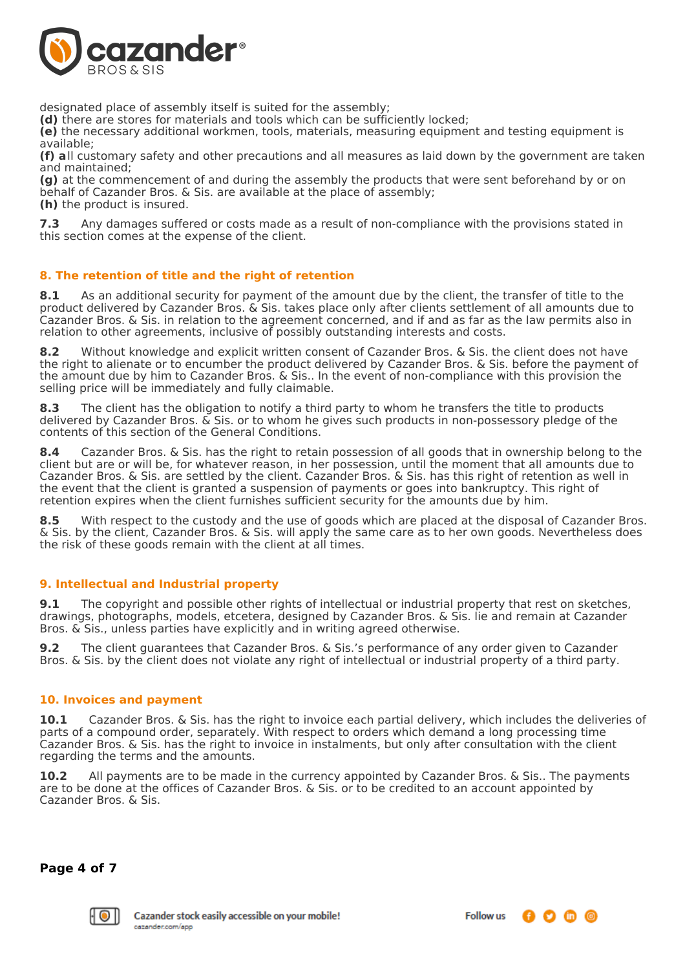

designated place of assembly itself is suited for the assembly;

**(d)** there are stores for materials and tools which can be sufficiently locked;

**(e)** the necessary additional workmen, tools, materials, measuring equipment and testing equipment is available;

**(f) a**ll customary safety and other precautions and all measures as laid down by the government are taken and maintained;

**(g)** at the commencement of and during the assembly the products that were sent beforehand by or on behalf of Cazander Bros. & Sis. are available at the place of assembly;

**(h)** the product is insured.

**7.3** Any damages suffered or costs made as a result of non-compliance with the provisions stated in this section comes at the expense of the client.

#### **8. The retention of title and the right of retention**

**8.1** As an additional security for payment of the amount due by the client, the transfer of title to the product delivered by Cazander Bros. & Sis. takes place only after clients settlement of all amounts due to Cazander Bros. & Sis. in relation to the agreement concerned, and if and as far as the law permits also in relation to other agreements, inclusive of possibly outstanding interests and costs.

**8.2** Without knowledge and explicit written consent of Cazander Bros. & Sis. the client does not have the right to alienate or to encumber the product delivered by Cazander Bros. & Sis. before the payment of the amount due by him to Cazander Bros. & Sis.. In the event of non-compliance with this provision the selling price will be immediately and fully claimable.

**8.3** The client has the obligation to notify a third party to whom he transfers the title to products delivered by Cazander Bros. & Sis. or to whom he gives such products in non-possessory pledge of the contents of this section of the General Conditions.

**8.4** Cazander Bros. & Sis. has the right to retain possession of all goods that in ownership belong to the client but are or will be, for whatever reason, in her possession, until the moment that all amounts due to Cazander Bros. & Sis. are settled by the client. Cazander Bros. & Sis. has this right of retention as well in the event that the client is granted a suspension of payments or goes into bankruptcy. This right of retention expires when the client furnishes sufficient security for the amounts due by him.

**8.5** With respect to the custody and the use of goods which are placed at the disposal of Cazander Bros. & Sis. by the client, Cazander Bros. & Sis. will apply the same care as to her own goods. Nevertheless does the risk of these goods remain with the client at all times.

# **9. Intellectual and Industrial property**

**9.1** The copyright and possible other rights of intellectual or industrial property that rest on sketches, drawings, photographs, models, etcetera, designed by Cazander Bros. & Sis. lie and remain at Cazander Bros. & Sis., unless parties have explicitly and in writing agreed otherwise.

**9.2** The client guarantees that Cazander Bros. & Sis.'s performance of any order given to Cazander Bros. & Sis. by the client does not violate any right of intellectual or industrial property of a third party.

#### **10. Invoices and payment**

**10.1** Cazander Bros. & Sis. has the right to invoice each partial delivery, which includes the deliveries of parts of a compound order, separately. With respect to orders which demand a long processing time Cazander Bros. & Sis. has the right to invoice in instalments, but only after consultation with the client regarding the terms and the amounts.

**10.2** All payments are to be made in the currency appointed by Cazander Bros. & Sis.. The payments are to be done at the offices of Cazander Bros. & Sis. or to be credited to an account appointed by Cazander Bros. & Sis.

**Page 4 of 7**

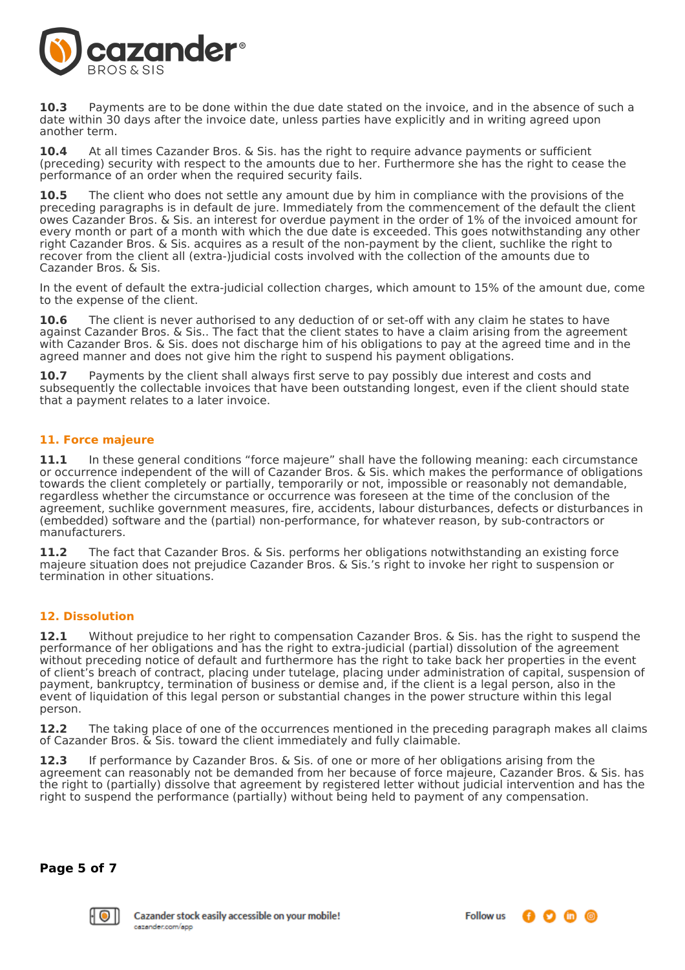

**10.3** Payments are to be done within the due date stated on the invoice, and in the absence of such a date within 30 days after the invoice date, unless parties have explicitly and in writing agreed upon another term.

**10.4** At all times Cazander Bros. & Sis. has the right to require advance payments or sufficient (preceding) security with respect to the amounts due to her. Furthermore she has the right to cease the performance of an order when the required security fails.

**10.5** The client who does not settle any amount due by him in compliance with the provisions of the preceding paragraphs is in default de jure. Immediately from the commencement of the default the client owes Cazander Bros. & Sis. an interest for overdue payment in the order of 1% of the invoiced amount for every month or part of a month with which the due date is exceeded. This goes notwithstanding any other right Cazander Bros. & Sis. acquires as a result of the non-payment by the client, suchlike the right to recover from the client all (extra-)judicial costs involved with the collection of the amounts due to Cazander Bros. & Sis.

In the event of default the extra-judicial collection charges, which amount to 15% of the amount due, come to the expense of the client.

**10.6** The client is never authorised to any deduction of or set-off with any claim he states to have against Cazander Bros. & Sis.. The fact that the client states to have a claim arising from the agreement with Cazander Bros. & Sis. does not discharge him of his obligations to pay at the agreed time and in the agreed manner and does not give him the right to suspend his payment obligations.

**10.7** Payments by the client shall always first serve to pay possibly due interest and costs and subsequently the collectable invoices that have been outstanding longest, even if the client should state that a payment relates to a later invoice.

# **11. Force majeure**

11.1 In these general conditions "force majeure" shall have the following meaning: each circumstance or occurrence independent of the will of Cazander Bros. & Sis. which makes the performance of obligations towards the client completely or partially, temporarily or not, impossible or reasonably not demandable, regardless whether the circumstance or occurrence was foreseen at the time of the conclusion of the agreement, suchlike government measures, fire, accidents, labour disturbances, defects or disturbances in (embedded) software and the (partial) non-performance, for whatever reason, by sub-contractors or manufacturers.

**11.2** The fact that Cazander Bros. & Sis. performs her obligations notwithstanding an existing force majeure situation does not prejudice Cazander Bros. & Sis.'s right to invoke her right to suspension or termination in other situations.

# **12. Dissolution**

**12.1** Without prejudice to her right to compensation Cazander Bros. & Sis. has the right to suspend the performance of her obligations and has the right to extra-judicial (partial) dissolution of the agreement without preceding notice of default and furthermore has the right to take back her properties in the event of client's breach of contract, placing under tutelage, placing under administration of capital, suspension of payment, bankruptcy, termination of business or demise and, if the client is a legal person, also in the event of liquidation of this legal person or substantial changes in the power structure within this legal person.

**12.2** The taking place of one of the occurrences mentioned in the preceding paragraph makes all claims of Cazander Bros. & Sis. toward the client immediately and fully claimable.

**12.3** If performance by Cazander Bros. & Sis. of one or more of her obligations arising from the agreement can reasonably not be demanded from her because of force majeure, Cazander Bros. & Sis. has the right to (partially) dissolve that agreement by registered letter without judicial intervention and has the right to suspend the performance (partially) without being held to payment of any compensation.

**Page 5 of 7**

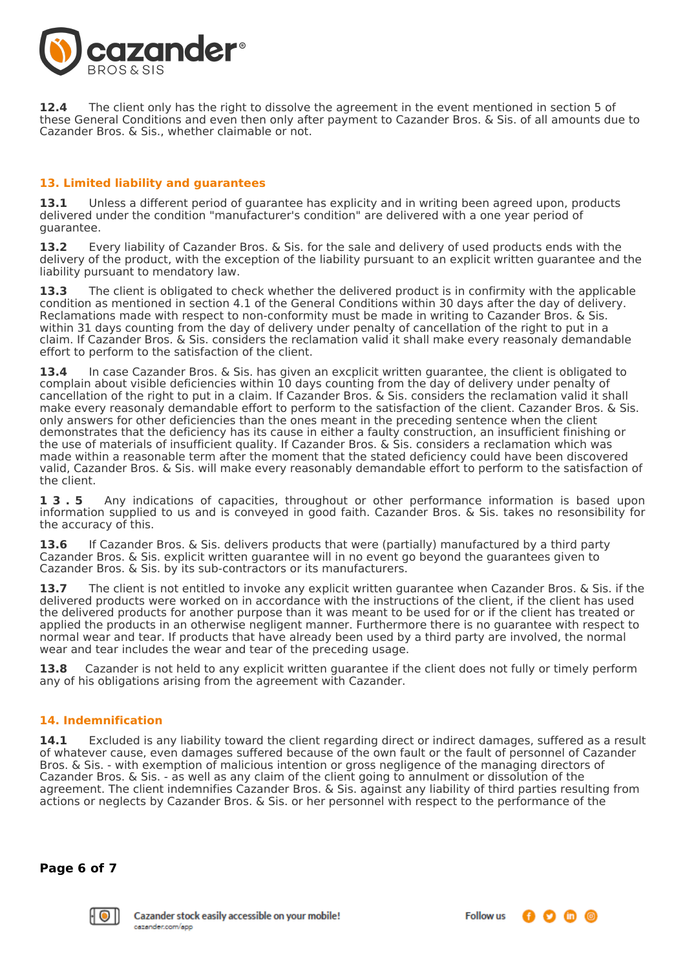

**12.4** The client only has the right to dissolve the agreement in the event mentioned in section 5 of these General Conditions and even then only after payment to Cazander Bros. & Sis. of all amounts due to Cazander Bros. & Sis., whether claimable or not.

# **13. Limited liability and guarantees**

**13.1** Unless a different period of guarantee has explicity and in writing been agreed upon, products delivered under the condition "manufacturer's condition" are delivered with a one year period of guarantee.

**13.2** Every liability of Cazander Bros. & Sis. for the sale and delivery of used products ends with the delivery of the product, with the exception of the liability pursuant to an explicit written guarantee and the liability pursuant to mendatory law.

**13.3** The client is obligated to check whether the delivered product is in confirmity with the applicable condition as mentioned in section 4.1 of the General Conditions within 30 days after the day of delivery. Reclamations made with respect to non-conformity must be made in writing to Cazander Bros. & Sis. within 31 days counting from the day of delivery under penalty of cancellation of the right to put in a claim. If Cazander Bros. & Sis. considers the reclamation valid it shall make every reasonaly demandable effort to perform to the satisfaction of the client.

**13.4** In case Cazander Bros. & Sis. has given an excplicit written guarantee, the client is obligated to complain about visible deficiencies within 10 days counting from the day of delivery under penalty of cancellation of the right to put in a claim. If Cazander Bros. & Sis. considers the reclamation valid it shall make every reasonaly demandable effort to perform to the satisfaction of the client. Cazander Bros. & Sis. only answers for other deficiencies than the ones meant in the preceding sentence when the client demonstrates that the deficiency has its cause in either a faulty construction, an insufficient finishing or the use of materials of insufficient quality. If Cazander Bros. & Sis. considers a reclamation which was made within a reasonable term after the moment that the stated deficiency could have been discovered valid, Cazander Bros. & Sis. will make every reasonably demandable effort to perform to the satisfaction of the client.

**1 3 . 5** Any indications of capacities, throughout or other performance information is based upon information supplied to us and is conveyed in good faith. Cazander Bros. & Sis. takes no resonsibility for the accuracy of this.

**13.6** If Cazander Bros. & Sis. delivers products that were (partially) manufactured by a third party Cazander Bros. & Sis. explicit written guarantee will in no event go beyond the guarantees given to Cazander Bros. & Sis. by its sub-contractors or its manufacturers.

**13.7** The client is not entitled to invoke any explicit written guarantee when Cazander Bros. & Sis. if the delivered products were worked on in accordance with the instructions of the client, if the client has used the delivered products for another purpose than it was meant to be used for or if the client has treated or applied the products in an otherwise negligent manner. Furthermore there is no guarantee with respect to normal wear and tear. If products that have already been used by a third party are involved, the normal wear and tear includes the wear and tear of the preceding usage.

**13.8** Cazander is not held to any explicit written guarantee if the client does not fully or timely perform any of his obligations arising from the agreement with Cazander.

# **14. Indemnification**

**14.1** Excluded is any liability toward the client regarding direct or indirect damages, suffered as a result of whatever cause, even damages suffered because of the own fault or the fault of personnel of Cazander Bros. & Sis. - with exemption of malicious intention or gross negligence of the managing directors of Cazander Bros. & Sis. - as well as any claim of the client going to annulment or dissolution of the agreement. The client indemnifies Cazander Bros. & Sis. against any liability of third parties resulting from actions or neglects by Cazander Bros. & Sis. or her personnel with respect to the performance of the

**Page 6 of 7**